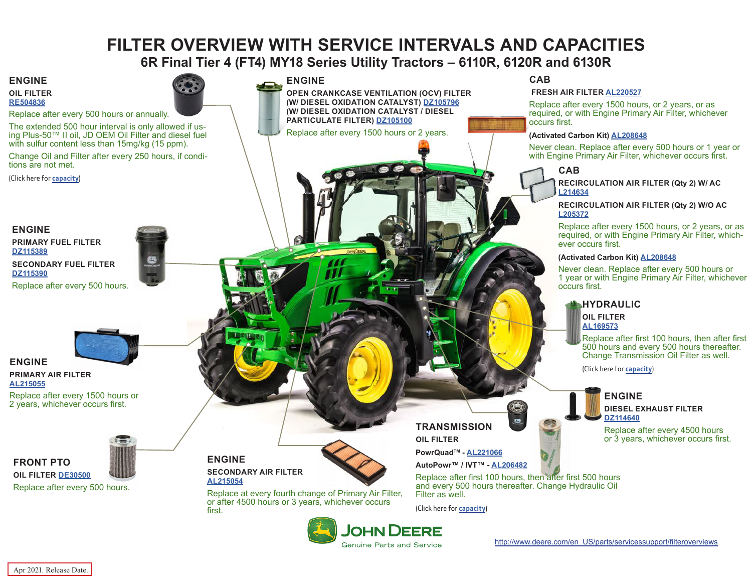# **FILTER OVERVIEW WITH SERVICE INTERVALS AND CAPACITIES**

**6R Final Tier 4 (FT4) MY18 Series Utility Tractors – 6110R, 6120R and 6130R**

<span id="page-0-0"></span>**ENGINE**

**OIL FILTER [RE504836](https://jdparts.deere.com/servlet/com.deere.u90.jdparts.view.servlets.partinfocontroller.PartDetails?screenName=JDSearch&&partSearchNumber=RE504836)**

Replace after every 500 hours or annually.

The extended 500 hour interval is only allowed if us- ing Plus-50™ II oil, JD OEM Oil Filter and diesel fuel with sulfur content less than 15mg/kg (15 ppm).

Change Oil and Filter after every 250 hours, if conditions are not met.

(Click here for **[capacity](#page-1-0)**)

## **ENGINE**

**PRIMARY FUEL FILTER [DZ115389](https://jdparts.deere.com/servlet/com.deere.u90.jdparts.view.servlets.partinfocontroller.PartDetails?screenName=JDSearch&&partSearchNumber=DZ115389) SECONDARY FUEL FILTER [DZ115390](https://jdparts.deere.com/servlet/com.deere.u90.jdparts.view.servlets.partinfocontroller.PartDetails?screenName=JDSearch&&partSearchNumber=DZ115390)**

Replace after every 500 hours.



#### **ENGINE PRIMARY AIR FILTER [AL215055](https://jdparts.deere.com/servlet/com.deere.u90.jdparts.view.servlets.partinfocontroller.PartDetails?screenName=JDSearch&&partSearchNumber=AL215055)**

**FRONT PTO**

Replace after every 1500 hours or 2 years, whichever occurs first.



**OIL FILTER [DE30500](https://jdparts.deere.com/servlet/com.deere.u90.jdparts.view.servlets.partinfocontroller.PartDetails?screenName=JDSearch&&partSearchNumber=DE30500)** Replace after every 500 hours.

#### **ENGINE**

**OPEN CRANKCASE VENTILATION (OCV) FILTER (W/ DIESEL OXIDATION CATALYST) [DZ105796](https://jdparts.deere.com/servlet/com.deere.u90.jdparts.view.servlets.partinfocontroller.PartDetails?screenName=JDSearch&&partSearchNumber=DZ105796) (W/ DIESEL OXIDATION CATALYST / DIESEL PARTICULATE FILTER) [DZ105100](https://jdparts.deere.com/servlet/com.deere.u90.jdparts.view.servlets.partinfocontroller.PartDetails?screenName=JDSearch&&partSearchNumber=DZ105100)**

Replace after every 1500 hours or 2 years.

**CAB**

#### **FRESH AIR FILTER [AL220527](https://jdparts.deere.com/servlet/com.deere.u90.jdparts.view.servlets.partinfocontroller.PartDetails?screenName=JDSearch&&partSearchNumber=AL220527)**

Replace after every 1500 hours, or 2 years, or as required, or with Engine Primary Air Filter, whichever occurs first.

#### **(Activated Carbon Kit) [AL208648](https://jdparts.deere.com/servlet/com.deere.u90.jdparts.view.servlets.partinfocontroller.PartDetails?screenName=JDSearch&&partSearchNumber=AL208648)**

Never clean. Replace after every 500 hours or 1 year or with Engine Primary Air Filter, whichever occurs first.

#### **CAB**

**RECIRCULATION AIR FILTER (Qty 2) W/ AC [L214634](https://jdparts.deere.com/servlet/com.deere.u90.jdparts.view.servlets.partinfocontroller.PartDetails?screenName=JDSearch&&partSearchNumber=L214634)**

#### **RECIRCULATION AIR FILTER (Qty 2) W/O AC [L205372](https://jdparts.deere.com/servlet/com.deere.u90.jdparts.view.servlets.partinfocontroller.PartDetails?screenName=JDSearch&&partSearchNumber=L205372)**

Replace after every 1500 hours, or 2 years, or as required, or with Engine Primary Air Filter, whichever occurs first.

#### **(Activated Carbon Kit) [AL208648](https://jdparts.deere.com/servlet/com.deere.u90.jdparts.view.servlets.partinfocontroller.PartDetails?screenName=JDSearch&&partSearchNumber=AL208648)**

Never clean. Replace after every 500 hours or 1 year or with Engine Primary Air Filter, whichever occurs first.

## **HYDRAULIC**

**OIL FILTER [AL169573](https://jdparts.deere.com/servlet/com.deere.u90.jdparts.view.servlets.partinfocontroller.PartDetails?screenName=JDSearch&&partSearchNumber=AL169573)**

Replace after first 100 hours, then after first 500 hours and every 500 hours thereafter. Change Transmission Oil Filter as well.

(Click here for **[capacity](#page-1-0)**)

#### **ENGINE DIESEL EXHAUST FILTER [DZ114640](https://jdparts.deere.com/servlet/com.deere.u90.jdparts.view.servlets.partinfocontroller.PartDetails?screenName=JDSearch&&partSearchNumber=DZ114640)**

Replace after every 4500 hours or 3 years, whichever occurs first.

**ENGINE SECONDARY AIR FILTER [AL215054](https://jdparts.deere.com/servlet/com.deere.u90.jdparts.view.servlets.partinfocontroller.PartDetails?screenName=JDSearch&&partSearchNumber=AL215054)**



Replace at every fourth change of Primary Air Filter, or after 4500 hours or 3 years, whichever occurs first.



## **TRANSMISSION OIL FILTER**

**PowrQuadTM - [AL221066](https://jdparts.deere.com/servlet/com.deere.u90.jdparts.view.servlets.partinfocontroller.PartDetails?screenName=JDSearch&&partSearchNumber=AL221066)**

**AutoPowr™ / IVT™ - [AL206482](https://jdparts.deere.com/servlet/com.deere.u90.jdparts.view.servlets.partinfocontroller.PartDetails?screenName=JDSearch&&partSearchNumber=AL206482)**

Replace after first 100 hours, then after first 500 hours and every 500 hours thereafter. Change Hydraulic Oil Filter as well.

 $\bullet$ 

(Click here for **[capacity](#page-1-0)**)



Apr 2021. Release Date.